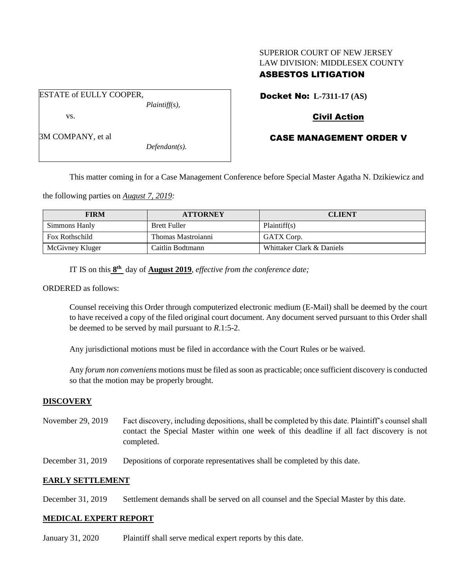# SUPERIOR COURT OF NEW JERSEY LAW DIVISION: MIDDLESEX COUNTY

# ASBESTOS LITIGATION

ESTATE of EULLY COOPER, *Plaintiff(s),*

vs.

3M COMPANY, et al

*Defendant(s).*

# Docket No: **L-7311-17 (AS)**

## Civil Action

# CASE MANAGEMENT ORDER V

This matter coming in for a Case Management Conference before Special Master Agatha N. Dzikiewicz and

the following parties on *August 7, 2019:*

| <b>FIRM</b>           | <b>ATTORNEY</b>     | <b>CLIENT</b>             |
|-----------------------|---------------------|---------------------------|
| Simmons Hanly         | <b>Brett Fuller</b> | Plaintiff(s)              |
| <b>Fox Rothschild</b> | Thomas Mastroianni  | GATX Corp.                |
| McGivney Kluger       | Caitlin Bodtmann    | Whittaker Clark & Daniels |

IT IS on this **8 th** day of **August 2019**, *effective from the conference date;*

#### ORDERED as follows:

Counsel receiving this Order through computerized electronic medium (E-Mail) shall be deemed by the court to have received a copy of the filed original court document. Any document served pursuant to this Order shall be deemed to be served by mail pursuant to *R*.1:5-2.

Any jurisdictional motions must be filed in accordance with the Court Rules or be waived.

Any *forum non conveniens* motions must be filed as soon as practicable; once sufficient discovery is conducted so that the motion may be properly brought.

## **DISCOVERY**

- November 29, 2019 Fact discovery, including depositions, shall be completed by this date. Plaintiff's counsel shall contact the Special Master within one week of this deadline if all fact discovery is not completed.
- December 31, 2019 Depositions of corporate representatives shall be completed by this date.

## **EARLY SETTLEMENT**

December 31, 2019 Settlement demands shall be served on all counsel and the Special Master by this date.

## **MEDICAL EXPERT REPORT**

January 31, 2020 Plaintiff shall serve medical expert reports by this date.